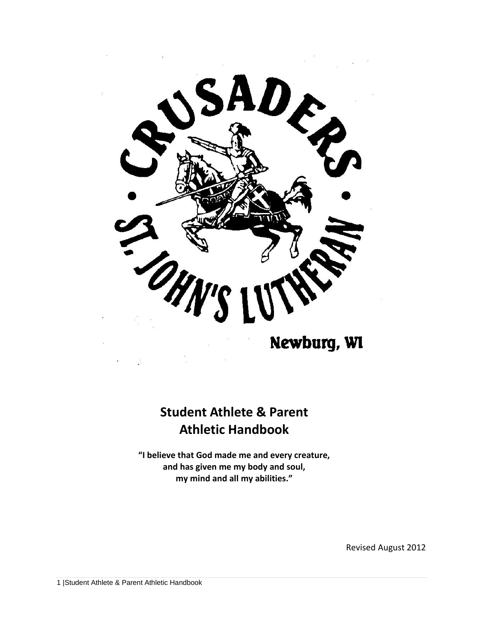

Newburg, WI

# **Student Athlete & Parent Athletic Handbook**

**"I believe that God made me and every creature, and has given me my body and soul, my mind and all my abilities."**

Revised August 2012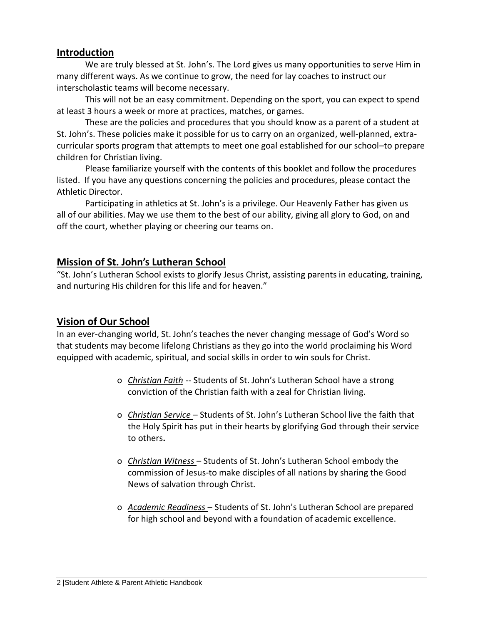#### **Introduction**

We are truly blessed at St. John's. The Lord gives us many opportunities to serve Him in many different ways. As we continue to grow, the need for lay coaches to instruct our interscholastic teams will become necessary.

This will not be an easy commitment. Depending on the sport, you can expect to spend at least 3 hours a week or more at practices, matches, or games.

These are the policies and procedures that you should know as a parent of a student at St. John's. These policies make it possible for us to carry on an organized, well-planned, extracurricular sports program that attempts to meet one goal established for our school–to prepare children for Christian living.

Please familiarize yourself with the contents of this booklet and follow the procedures listed. If you have any questions concerning the policies and procedures, please contact the Athletic Director.

Participating in athletics at St. John's is a privilege. Our Heavenly Father has given us all of our abilities. May we use them to the best of our ability, giving all glory to God, on and off the court, whether playing or cheering our teams on.

## **Mission of St. John's Lutheran School**

"St. John's Lutheran School exists to glorify Jesus Christ, assisting parents in educating, training, and nurturing His children for this life and for heaven."

## **Vision of Our School**

In an ever-changing world, St. John's teaches the never changing message of God's Word so that students may become lifelong Christians as they go into the world proclaiming his Word equipped with academic, spiritual, and social skills in order to win souls for Christ.

- o *Christian Faith* -- Students of St. John's Lutheran School have a strong conviction of the Christian faith with a zeal for Christian living.
- o *Christian Service* Students of St. John's Lutheran School live the faith that the Holy Spirit has put in their hearts by glorifying God through their service to others**.**
- o *Christian Witness* Students of St. John's Lutheran School embody the commission of Jesus-to make disciples of all nations by sharing the Good News of salvation through Christ.
- o *Academic Readiness* Students of St. John's Lutheran School are prepared for high school and beyond with a foundation of academic excellence.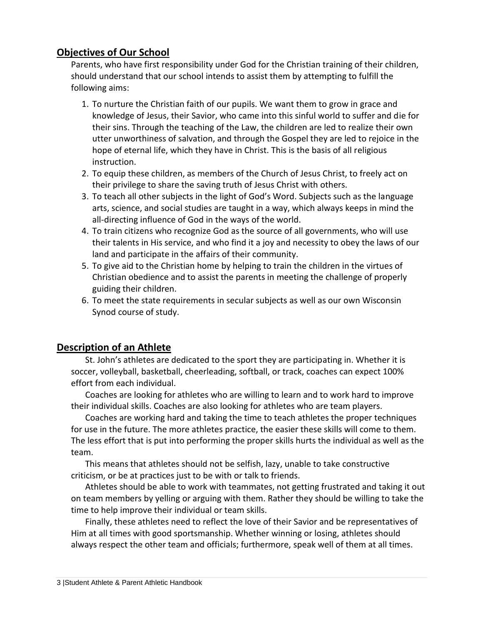# **Objectives of Our School**

Parents, who have first responsibility under God for the Christian training of their children, should understand that our school intends to assist them by attempting to fulfill the following aims:

- 1. To nurture the Christian faith of our pupils. We want them to grow in grace and knowledge of Jesus, their Savior, who came into this sinful world to suffer and die for their sins. Through the teaching of the Law, the children are led to realize their own utter unworthiness of salvation, and through the Gospel they are led to rejoice in the hope of eternal life, which they have in Christ. This is the basis of all religious instruction.
- 2. To equip these children, as members of the Church of Jesus Christ, to freely act on their privilege to share the saving truth of Jesus Christ with others.
- 3. To teach all other subjects in the light of God's Word. Subjects such as the language arts, science, and social studies are taught in a way, which always keeps in mind the all-directing influence of God in the ways of the world.
- 4. To train citizens who recognize God as the source of all governments, who will use their talents in His service, and who find it a joy and necessity to obey the laws of our land and participate in the affairs of their community.
- 5. To give aid to the Christian home by helping to train the children in the virtues of Christian obedience and to assist the parents in meeting the challenge of properly guiding their children.
- 6. To meet the state requirements in secular subjects as well as our own Wisconsin Synod course of study.

# **Description of an Athlete**

St. John's athletes are dedicated to the sport they are participating in. Whether it is soccer, volleyball, basketball, cheerleading, softball, or track, coaches can expect 100% effort from each individual.

Coaches are looking for athletes who are willing to learn and to work hard to improve their individual skills. Coaches are also looking for athletes who are team players.

Coaches are working hard and taking the time to teach athletes the proper techniques for use in the future. The more athletes practice, the easier these skills will come to them. The less effort that is put into performing the proper skills hurts the individual as well as the team.

This means that athletes should not be selfish, lazy, unable to take constructive criticism, or be at practices just to be with or talk to friends.

Athletes should be able to work with teammates, not getting frustrated and taking it out on team members by yelling or arguing with them. Rather they should be willing to take the time to help improve their individual or team skills.

Finally, these athletes need to reflect the love of their Savior and be representatives of Him at all times with good sportsmanship. Whether winning or losing, athletes should always respect the other team and officials; furthermore, speak well of them at all times.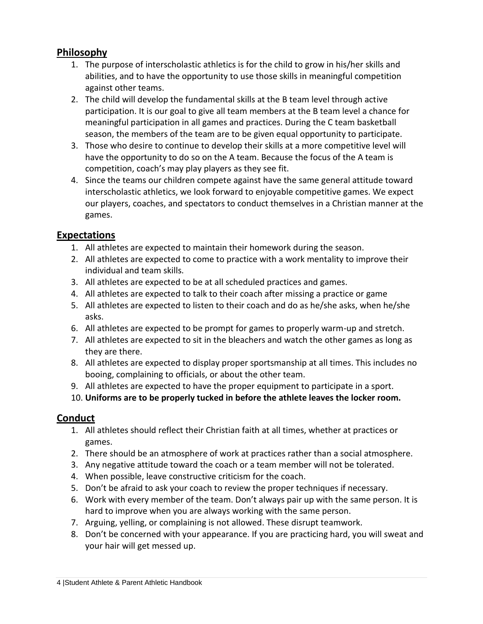# **Philosophy**

- 1. The purpose of interscholastic athletics is for the child to grow in his/her skills and abilities, and to have the opportunity to use those skills in meaningful competition against other teams.
- 2. The child will develop the fundamental skills at the B team level through active participation. It is our goal to give all team members at the B team level a chance for meaningful participation in all games and practices. During the C team basketball season, the members of the team are to be given equal opportunity to participate.
- 3. Those who desire to continue to develop their skills at a more competitive level will have the opportunity to do so on the A team. Because the focus of the A team is competition, coach's may play players as they see fit.
- 4. Since the teams our children compete against have the same general attitude toward interscholastic athletics, we look forward to enjoyable competitive games. We expect our players, coaches, and spectators to conduct themselves in a Christian manner at the games.

# **Expectations**

- 1. All athletes are expected to maintain their homework during the season.
- 2. All athletes are expected to come to practice with a work mentality to improve their individual and team skills.
- 3. All athletes are expected to be at all scheduled practices and games.
- 4. All athletes are expected to talk to their coach after missing a practice or game
- 5. All athletes are expected to listen to their coach and do as he/she asks, when he/she asks.
- 6. All athletes are expected to be prompt for games to properly warm-up and stretch.
- 7. All athletes are expected to sit in the bleachers and watch the other games as long as they are there.
- 8. All athletes are expected to display proper sportsmanship at all times. This includes no booing, complaining to officials, or about the other team.
- 9. All athletes are expected to have the proper equipment to participate in a sport.
- 10. **Uniforms are to be properly tucked in before the athlete leaves the locker room.**

# **Conduct**

- 1. All athletes should reflect their Christian faith at all times, whether at practices or games.
- 2. There should be an atmosphere of work at practices rather than a social atmosphere.
- 3. Any negative attitude toward the coach or a team member will not be tolerated.
- 4. When possible, leave constructive criticism for the coach.
- 5. Don't be afraid to ask your coach to review the proper techniques if necessary.
- 6. Work with every member of the team. Don't always pair up with the same person. It is hard to improve when you are always working with the same person.
- 7. Arguing, yelling, or complaining is not allowed. These disrupt teamwork.
- 8. Don't be concerned with your appearance. If you are practicing hard, you will sweat and your hair will get messed up.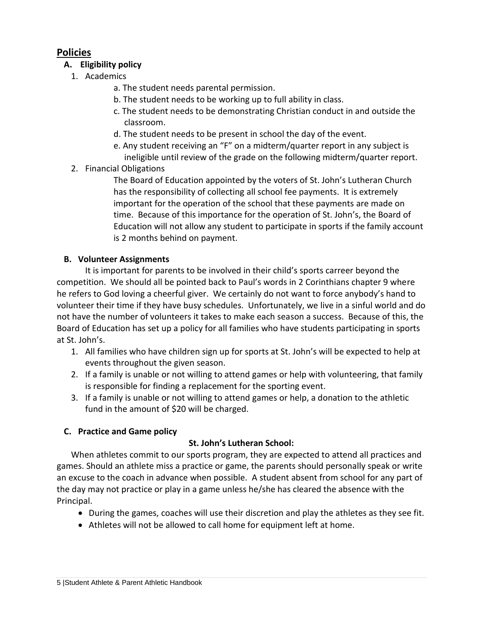# **Policies**

## **A. Eligibility policy**

- 1. Academics
	- a. The student needs parental permission.
	- b. The student needs to be working up to full ability in class.
	- c. The student needs to be demonstrating Christian conduct in and outside the classroom.
	- d. The student needs to be present in school the day of the event.
	- e. Any student receiving an "F" on a midterm/quarter report in any subject is ineligible until review of the grade on the following midterm/quarter report.

# 2. Financial Obligations

The Board of Education appointed by the voters of St. John's Lutheran Church has the responsibility of collecting all school fee payments. It is extremely important for the operation of the school that these payments are made on time. Because of this importance for the operation of St. John's, the Board of Education will not allow any student to participate in sports if the family account is 2 months behind on payment.

# **B. Volunteer Assignments**

It is important for parents to be involved in their child's sports carreer beyond the competition. We should all be pointed back to Paul's words in 2 Corinthians chapter 9 where he refers to God loving a cheerful giver. We certainly do not want to force anybody's hand to volunteer their time if they have busy schedules. Unfortunately, we live in a sinful world and do not have the number of volunteers it takes to make each season a success. Because of this, the Board of Education has set up a policy for all families who have students participating in sports at St. John's.

- 1. All families who have children sign up for sports at St. John's will be expected to help at events throughout the given season.
- 2. If a family is unable or not willing to attend games or help with volunteering, that family is responsible for finding a replacement for the sporting event.
- 3. If a family is unable or not willing to attend games or help, a donation to the athletic fund in the amount of \$20 will be charged.

# **C. Practice and Game policy**

## **St. John's Lutheran School:**

When athletes commit to our sports program, they are expected to attend all practices and games. Should an athlete miss a practice or game, the parents should personally speak or write an excuse to the coach in advance when possible. A student absent from school for any part of the day may not practice or play in a game unless he/she has cleared the absence with the Principal.

- During the games, coaches will use their discretion and play the athletes as they see fit.
- Athletes will not be allowed to call home for equipment left at home.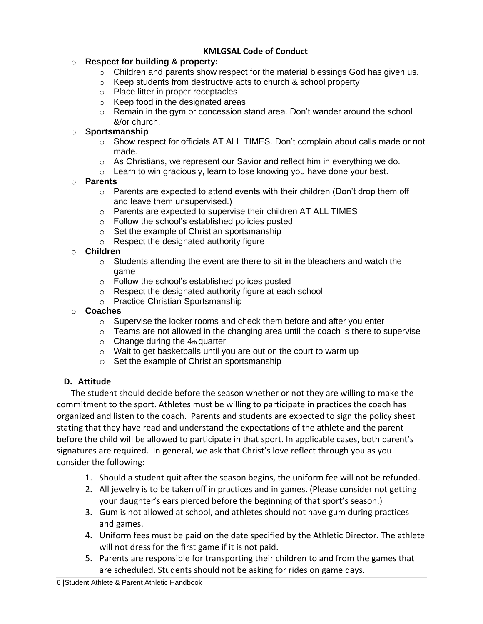## **KMLGSAL Code of Conduct**

#### o **Respect for building & property:**

- $\circ$  Children and parents show respect for the material blessings God has given us.
- o Keep students from destructive acts to church & school property
- o Place litter in proper receptacles
- o Keep food in the designated areas
- o Remain in the gym or concession stand area. Don't wander around the school &/or church.

#### o **Sportsmanship**

- $\circ$  Show respect for officials AT ALL TIMES. Don't complain about calls made or not made.
- $\circ$  As Christians, we represent our Savior and reflect him in everything we do.
- o Learn to win graciously, learn to lose knowing you have done your best.

#### o **Parents**

- o Parents are expected to attend events with their children (Don't drop them off and leave them unsupervised.)
- o Parents are expected to supervise their children AT ALL TIMES
- o Follow the school's established policies posted
- o Set the example of Christian sportsmanship
- o Respect the designated authority figure

#### o **Children**

- $\circ$  Students attending the event are there to sit in the bleachers and watch the game
- o Follow the school's established polices posted
- o Respect the designated authority figure at each school
- o Practice Christian Sportsmanship
- o **Coaches**
	- o Supervise the locker rooms and check them before and after you enter
	- $\circ$  Teams are not allowed in the changing area until the coach is there to supervise
	- $\circ$  Change during the 4th quarter
	- o Wait to get basketballs until you are out on the court to warm up
	- o Set the example of Christian sportsmanship

#### **D. Attitude**

The student should decide before the season whether or not they are willing to make the commitment to the sport. Athletes must be willing to participate in practices the coach has organized and listen to the coach. Parents and students are expected to sign the policy sheet stating that they have read and understand the expectations of the athlete and the parent before the child will be allowed to participate in that sport. In applicable cases, both parent's signatures are required. In general, we ask that Christ's love reflect through you as you consider the following:

- 1. Should a student quit after the season begins, the uniform fee will not be refunded.
- 2. All jewelry is to be taken off in practices and in games. (Please consider not getting your daughter's ears pierced before the beginning of that sport's season.)
- 3. Gum is not allowed at school, and athletes should not have gum during practices and games.
- 4. Uniform fees must be paid on the date specified by the Athletic Director. The athlete will not dress for the first game if it is not paid.
- 5. Parents are responsible for transporting their children to and from the games that are scheduled. Students should not be asking for rides on game days.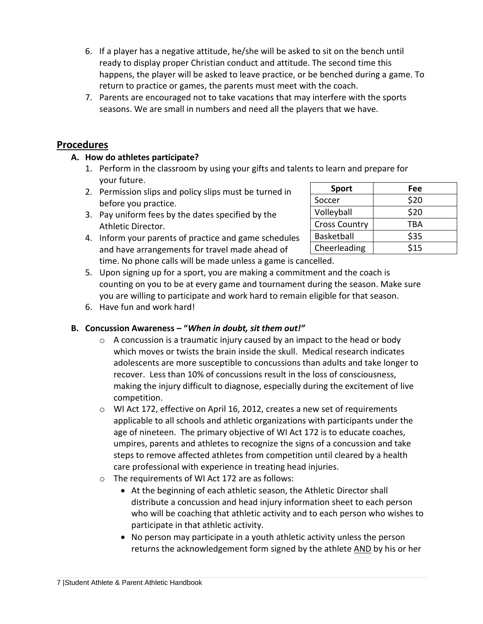- 6. If a player has a negative attitude, he/she will be asked to sit on the bench until ready to display proper Christian conduct and attitude. The second time this happens, the player will be asked to leave practice, or be benched during a game. To return to practice or games, the parents must meet with the coach.
- 7. Parents are encouraged not to take vacations that may interfere with the sports seasons. We are small in numbers and need all the players that we have.

# **Procedures**

#### **A. How do athletes participate?**

- 1. Perform in the classroom by using your gifts and talents to learn and prepare for your future.
- 2. Permission slips and policy slips must be turned in before you practice.
- 3. Pay uniform fees by the dates specified by the Athletic Director.
- 4. Inform your parents of practice and game schedules and have arrangements for travel made ahead of time. No phone calls will be made unless a game is cancelled.

| <b>Sport</b>         | Fee  |
|----------------------|------|
| Soccer               | \$20 |
| Volleyball           | \$20 |
| <b>Cross Country</b> | TBA  |
| Basketball           | \$35 |
| Cheerleading         | \$15 |

- 5. Upon signing up for a sport, you are making a commitment and the coach is counting on you to be at every game and tournament during the season. Make sure you are willing to participate and work hard to remain eligible for that season.
- 6. Have fun and work hard!

## **B. Concussion Awareness – "***When in doubt, sit them out!"*

- $\circ$  A concussion is a traumatic injury caused by an impact to the head or body which moves or twists the brain inside the skull. Medical research indicates adolescents are more susceptible to concussions than adults and take longer to recover. Less than 10% of concussions result in the loss of consciousness, making the injury difficult to diagnose, especially during the excitement of live competition.
- o WI Act 172, effective on April 16, 2012, creates a new set of requirements applicable to all schools and athletic organizations with participants under the age of nineteen. The primary objective of WI Act 172 is to educate coaches, umpires, parents and athletes to recognize the signs of a concussion and take steps to remove affected athletes from competition until cleared by a health care professional with experience in treating head injuries.
- o The requirements of WI Act 172 are as follows:
	- At the beginning of each athletic season, the Athletic Director shall distribute a concussion and head injury information sheet to each person who will be coaching that athletic activity and to each person who wishes to participate in that athletic activity.
	- No person may participate in a youth athletic activity unless the person returns the acknowledgement form signed by the athlete AND by his or her